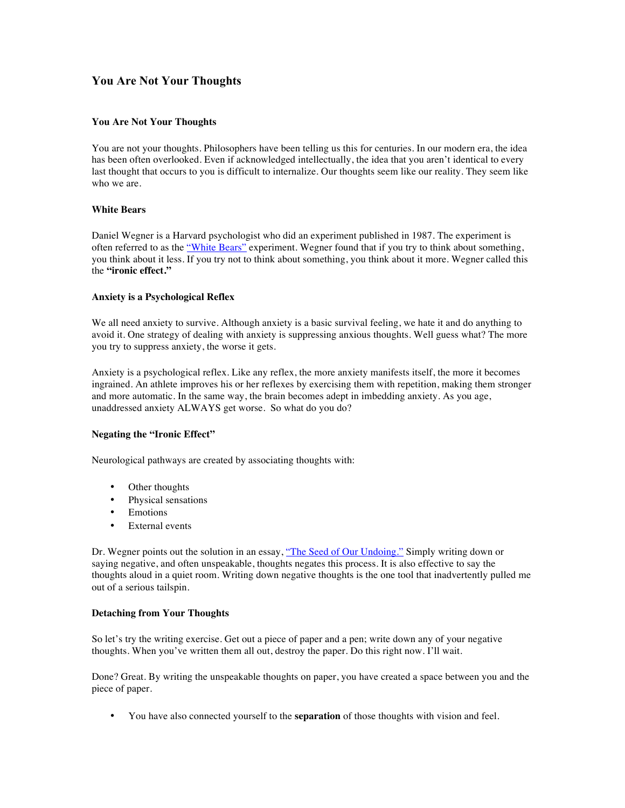# **You Are Not Your Thoughts**

### **You Are Not Your Thoughts**

You are not your thoughts. Philosophers have been telling us this for centuries. In our modern era, the idea has been often overlooked. Even if acknowledged intellectually, the idea that you aren't identical to every last thought that occurs to you is difficult to internalize. Our thoughts seem like our reality. They seem like who we are.

#### **White Bears**

Daniel Wegner is a Harvard psychologist who did an experiment published in 1987. The experiment is often referred to as the "White Bears" experiment. Wegner found that if you try to think about something, you think about it less. If you try not to think about something, you think about it more. Wegner called this the **"ironic effect."**

#### **Anxiety is a Psychological Reflex**

We all need anxiety to survive. Although anxiety is a basic survival feeling, we hate it and do anything to avoid it. One strategy of dealing with anxiety is suppressing anxious thoughts. Well guess what? The more you try to suppress anxiety, the worse it gets.

Anxiety is a psychological reflex. Like any reflex, the more anxiety manifests itself, the more it becomes ingrained. An athlete improves his or her reflexes by exercising them with repetition, making them stronger and more automatic. In the same way, the brain becomes adept in imbedding anxiety. As you age, unaddressed anxiety ALWAYS get worse. So what do you do?

## **Negating the "Ironic Effect"**

Neurological pathways are created by associating thoughts with:

- Other thoughts
- Physical sensations
- Emotions
- External events

Dr. Wegner points out the solution in an essay, "The Seed of Our Undoing." Simply writing down or saying negative, and often unspeakable, thoughts negates this process. It is also effective to say the thoughts aloud in a quiet room. Writing down negative thoughts is the one tool that inadvertently pulled me out of a serious tailspin.

#### **Detaching from Your Thoughts**

So let's try the writing exercise. Get out a piece of paper and a pen; write down any of your negative thoughts. When you've written them all out, destroy the paper. Do this right now. I'll wait.

Done? Great. By writing the unspeakable thoughts on paper, you have created a space between you and the piece of paper.

• You have also connected yourself to the **separation** of those thoughts with vision and feel.